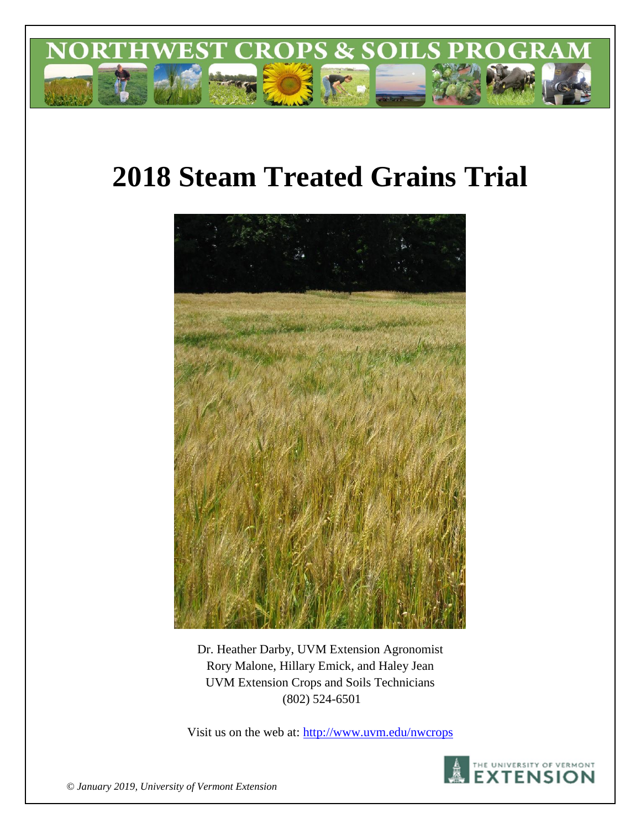

# **2018 Steam Treated Grains Trial**



Dr. Heather Darby, UVM Extension Agronomist Rory Malone, Hillary Emick, and Haley Jean UVM Extension Crops and Soils Technicians (802) 524-6501

Visit us on the web at:<http://www.uvm.edu/nwcrops>



*© January 2019, University of Vermont Extension*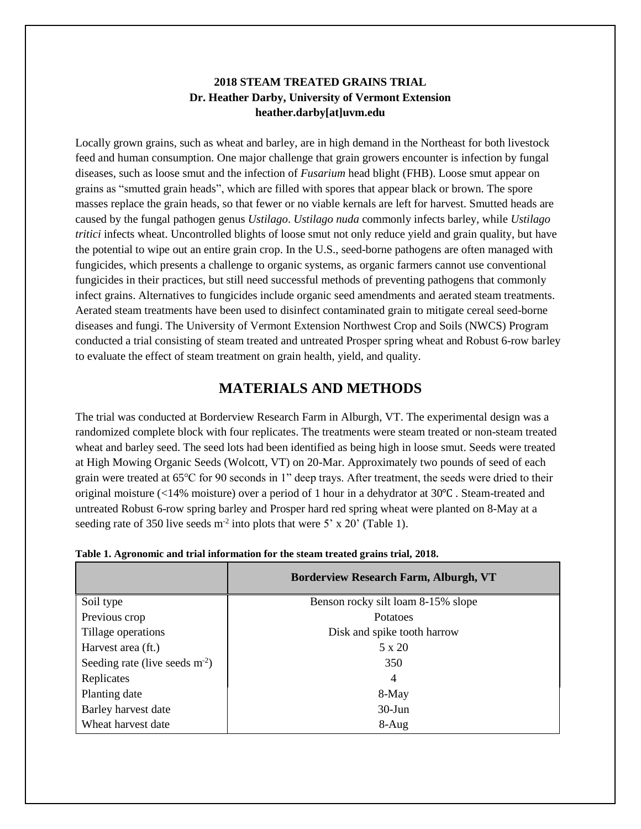### **2018 STEAM TREATED GRAINS TRIAL Dr. Heather Darby, University of Vermont Extension heather.darby[at]uvm.edu**

Locally grown grains, such as wheat and barley, are in high demand in the Northeast for both livestock feed and human consumption. One major challenge that grain growers encounter is infection by fungal diseases, such as loose smut and the infection of *Fusarium* head blight (FHB). Loose smut appear on grains as "smutted grain heads", which are filled with spores that appear black or brown. The spore masses replace the grain heads, so that fewer or no viable kernals are left for harvest. Smutted heads are caused by the fungal pathogen genus *Ustilago*. *Ustilago nuda* commonly infects barley, while *Ustilago tritici* infects wheat. Uncontrolled blights of loose smut not only reduce yield and grain quality, but have the potential to wipe out an entire grain crop. In the U.S., seed-borne pathogens are often managed with fungicides, which presents a challenge to organic systems, as organic farmers cannot use conventional fungicides in their practices, but still need successful methods of preventing pathogens that commonly infect grains. Alternatives to fungicides include organic seed amendments and aerated steam treatments. Aerated steam treatments have been used to disinfect contaminated grain to mitigate cereal seed-borne diseases and fungi. The University of Vermont Extension Northwest Crop and Soils (NWCS) Program conducted a trial consisting of steam treated and untreated Prosper spring wheat and Robust 6-row barley to evaluate the effect of steam treatment on grain health, yield, and quality.

## **MATERIALS AND METHODS**

The trial was conducted at Borderview Research Farm in Alburgh, VT. The experimental design was a randomized complete block with four replicates. The treatments were steam treated or non-steam treated wheat and barley seed. The seed lots had been identified as being high in loose smut. Seeds were treated at High Mowing Organic Seeds (Wolcott, VT) on 20-Mar. Approximately two pounds of seed of each grain were treated at 65℃ for 90 seconds in 1" deep trays. After treatment, the seeds were dried to their original moisture (<14% moisture) over a period of 1 hour in a dehydrator at 30℃ . Steam-treated and untreated Robust 6-row spring barley and Prosper hard red spring wheat were planted on 8-May at a seeding rate of 350 live seeds  $m<sup>2</sup>$  into plots that were 5' x 20' (Table 1).

|                                 | <b>Borderview Research Farm, Alburgh, VT</b> |
|---------------------------------|----------------------------------------------|
| Soil type                       | Benson rocky silt loam 8-15% slope           |
| Previous crop                   | Potatoes                                     |
| Tillage operations              | Disk and spike tooth harrow                  |
| Harvest area (ft.)              | 5 x 20                                       |
| Seeding rate (live seeds $m2$ ) | 350                                          |
| Replicates                      | 4                                            |
| Planting date                   | 8-May                                        |
| Barley harvest date             | $30$ -Jun                                    |
| Wheat harvest date              | $8-Aug$                                      |

| Table 1. Agronomic and trial information for the steam treated grains trial, 2018. |  |  |
|------------------------------------------------------------------------------------|--|--|
|------------------------------------------------------------------------------------|--|--|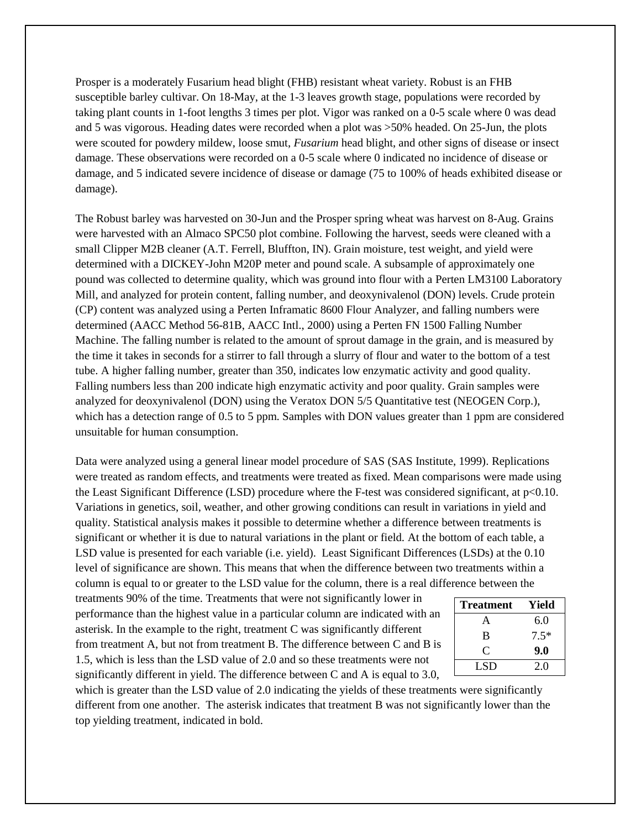Prosper is a moderately Fusarium head blight (FHB) resistant wheat variety. Robust is an FHB susceptible barley cultivar. On 18-May, at the 1-3 leaves growth stage, populations were recorded by taking plant counts in 1-foot lengths 3 times per plot. Vigor was ranked on a 0-5 scale where 0 was dead and 5 was vigorous. Heading dates were recorded when a plot was >50% headed. On 25-Jun, the plots were scouted for powdery mildew, loose smut, *Fusarium* head blight, and other signs of disease or insect damage. These observations were recorded on a 0-5 scale where 0 indicated no incidence of disease or damage, and 5 indicated severe incidence of disease or damage (75 to 100% of heads exhibited disease or damage).

The Robust barley was harvested on 30-Jun and the Prosper spring wheat was harvest on 8-Aug. Grains were harvested with an Almaco SPC50 plot combine. Following the harvest, seeds were cleaned with a small Clipper M2B cleaner (A.T. Ferrell, Bluffton, IN). Grain moisture, test weight, and yield were determined with a DICKEY-John M20P meter and pound scale. A subsample of approximately one pound was collected to determine quality, which was ground into flour with a Perten LM3100 Laboratory Mill, and analyzed for protein content, falling number, and deoxynivalenol (DON) levels. Crude protein (CP) content was analyzed using a Perten Inframatic 8600 Flour Analyzer, and falling numbers were determined (AACC Method 56-81B, AACC Intl., 2000) using a Perten FN 1500 Falling Number Machine. The falling number is related to the amount of sprout damage in the grain, and is measured by the time it takes in seconds for a stirrer to fall through a slurry of flour and water to the bottom of a test tube. A higher falling number, greater than 350, indicates low enzymatic activity and good quality. Falling numbers less than 200 indicate high enzymatic activity and poor quality. Grain samples were analyzed for deoxynivalenol (DON) using the Veratox DON 5/5 Quantitative test (NEOGEN Corp.), which has a detection range of 0.5 to 5 ppm. Samples with DON values greater than 1 ppm are considered unsuitable for human consumption.

Data were analyzed using a general linear model procedure of SAS (SAS Institute, 1999). Replications were treated as random effects, and treatments were treated as fixed. Mean comparisons were made using the Least Significant Difference (LSD) procedure where the F-test was considered significant, at p<0.10. Variations in genetics, soil, weather, and other growing conditions can result in variations in yield and quality. Statistical analysis makes it possible to determine whether a difference between treatments is significant or whether it is due to natural variations in the plant or field. At the bottom of each table, a LSD value is presented for each variable (i.e. yield). Least Significant Differences (LSDs) at the 0.10 level of significance are shown. This means that when the difference between two treatments within a column is equal to or greater to the LSD value for the column, there is a real difference between the

treatments 90% of the time. Treatments that were not significantly lower in performance than the highest value in a particular column are indicated with an asterisk. In the example to the right, treatment C was significantly different from treatment A, but not from treatment B. The difference between C and B is 1.5, which is less than the LSD value of 2.0 and so these treatments were not significantly different in yield. The difference between C and A is equal to 3.0,

| <b>Treatment</b> | Yield  |
|------------------|--------|
| $\mathsf{A}$     | 6.0    |
| B                | $7.5*$ |
| C                | 9.0    |
| LSD              | 2.0    |

which is greater than the LSD value of 2.0 indicating the yields of these treatments were significantly different from one another. The asterisk indicates that treatment B was not significantly lower than the top yielding treatment, indicated in bold.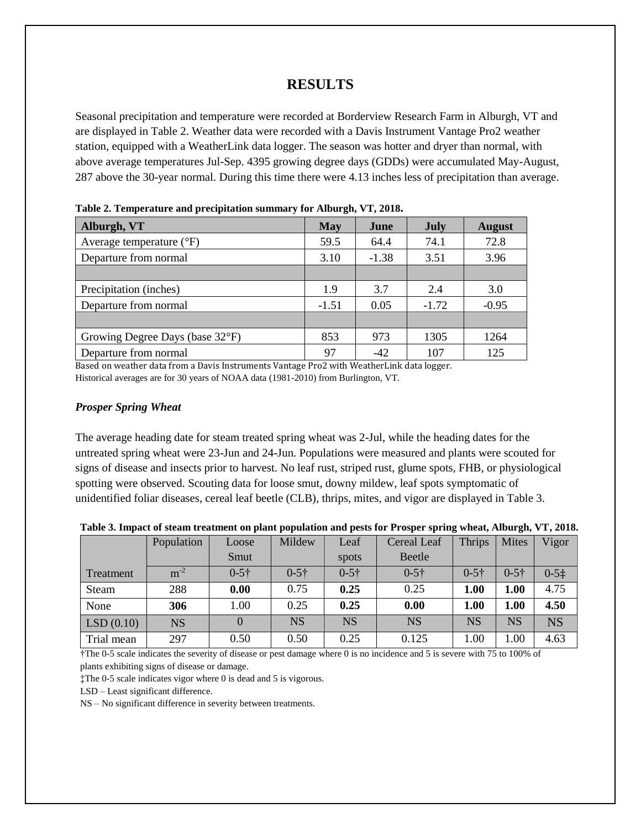## **RESULTS**

Seasonal precipitation and temperature were recorded at Borderview Research Farm in Alburgh, VT and are displayed in Table 2. Weather data were recorded with a Davis Instrument Vantage Pro2 weather station, equipped with a WeatherLink data logger. The season was hotter and dryer than normal, with above average temperatures Jul-Sep. 4395 growing degree days (GDDs) were accumulated May-August, 287 above the 30-year normal. During this time there were 4.13 inches less of precipitation than average.

| Alburgh, VT                         | <b>May</b> | June    | <b>July</b> | <b>August</b> |  |  |  |
|-------------------------------------|------------|---------|-------------|---------------|--|--|--|
| Average temperature $({}^{\circ}F)$ | 59.5       | 64.4    | 74.1        | 72.8          |  |  |  |
| Departure from normal               | 3.10       | $-1.38$ | 3.51        | 3.96          |  |  |  |
|                                     |            |         |             |               |  |  |  |
| Precipitation (inches)              | 1.9        | 3.7     | 2.4         | 3.0           |  |  |  |
| Departure from normal               | $-1.51$    | 0.05    | $-1.72$     | $-0.95$       |  |  |  |
|                                     |            |         |             |               |  |  |  |
| Growing Degree Days (base 32°F)     | 853        | 973     | 1305        | 1264          |  |  |  |
| Departure from normal               | 97         | $-42$   | 107         | 125           |  |  |  |

**Table 2. Temperature and precipitation summary for Alburgh, VT, 2018.**

Based on weather data from a Davis Instruments Vantage Pro2 with WeatherLink data logger. Historical averages are for 30 years of NOAA data (1981-2010) from Burlington, VT.

#### *Prosper Spring Wheat*

The average heading date for steam treated spring wheat was 2-Jul, while the heading dates for the untreated spring wheat were 23-Jun and 24-Jun. Populations were measured and plants were scouted for signs of disease and insects prior to harvest. No leaf rust, striped rust, glume spots, FHB, or physiological spotting were observed. Scouting data for loose smut, downy mildew, leaf spots symptomatic of unidentified foliar diseases, cereal leaf beetle (CLB), thrips, mites, and vigor are displayed in Table 3.

| Table 3. Impact of steam treatment on plant population and pests for Prosper spring wheat, Alburgh, VT, 2018. |  |  |  |  |  |  |
|---------------------------------------------------------------------------------------------------------------|--|--|--|--|--|--|
|---------------------------------------------------------------------------------------------------------------|--|--|--|--|--|--|

|            | Population | Loose     | Mildew    | Leaf      | Cereal Leaf   | <b>Thrips</b> | <b>Mites</b> | Vigor      |
|------------|------------|-----------|-----------|-----------|---------------|---------------|--------------|------------|
|            |            | Smut      |           | spots     | <b>Beetle</b> |               |              |            |
| Treatment  | $m^{-2}$   | $0 - 5 +$ | $0 - 5 +$ | $0 - 5 +$ | $0 - 5 +$     | $0 - 5 +$     | $0 - 5 +$    | $0 - 5\pm$ |
| Steam      | 288        | 0.00      | 0.75      | 0.25      | 0.25          | 1.00          | 1.00         | 4.75       |
| None       | 306        | 1.00      | 0.25      | 0.25      | 0.00          | 1.00          | 1.00         | 4.50       |
| LSD(0.10)  | <b>NS</b>  | $\Omega$  | <b>NS</b> | <b>NS</b> | <b>NS</b>     | NS            | NS           | <b>NS</b>  |
| Trial mean | 297        | 0.50      | 0.50      | 0.25      | 0.125         | 1.00          | 1.00         | 4.63       |

†The 0-5 scale indicates the severity of disease or pest damage where 0 is no incidence and 5 is severe with 75 to 100% of plants exhibiting signs of disease or damage.

‡The 0-5 scale indicates vigor where 0 is dead and 5 is vigorous.

LSD – Least significant difference.

NS – No significant difference in severity between treatments.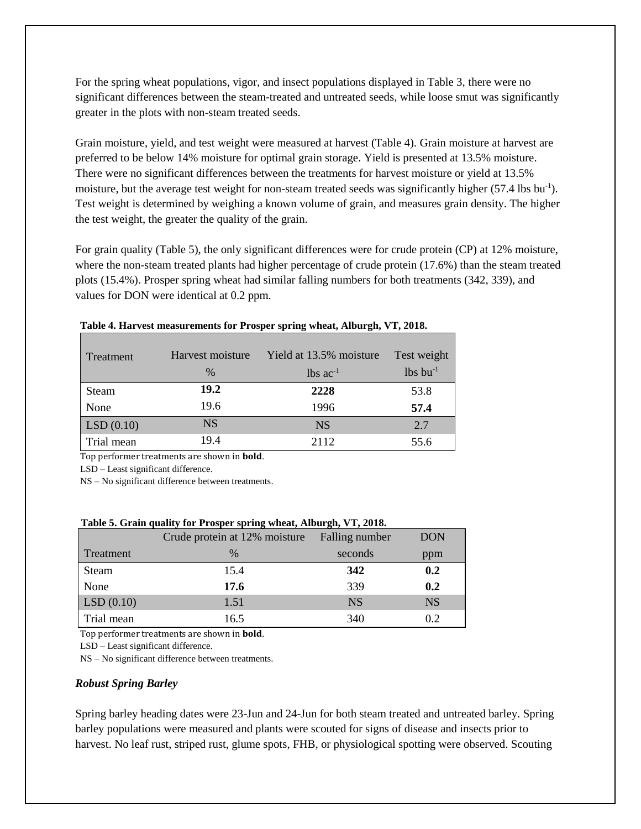For the spring wheat populations, vigor, and insect populations displayed in Table 3, there were no significant differences between the steam-treated and untreated seeds, while loose smut was significantly greater in the plots with non-steam treated seeds.

Grain moisture, yield, and test weight were measured at harvest (Table 4). Grain moisture at harvest are preferred to be below 14% moisture for optimal grain storage. Yield is presented at 13.5% moisture. There were no significant differences between the treatments for harvest moisture or yield at 13.5% moisture, but the average test weight for non-steam treated seeds was significantly higher (57.4 lbs bu<sup>-1</sup>). Test weight is determined by weighing a known volume of grain, and measures grain density. The higher the test weight, the greater the quality of the grain.

For grain quality (Table 5), the only significant differences were for crude protein (CP) at 12% moisture, where the non-steam treated plants had higher percentage of crude protein (17.6%) than the steam treated plots (15.4%). Prosper spring wheat had similar falling numbers for both treatments (342, 339), and values for DON were identical at 0.2 ppm.

| Treatment  | Harvest moisture<br>$\%$ | Yield at 13.5% moisture<br>$1b$ s ac <sup>-1</sup> | Test weight<br>$lbs$ bu <sup>-1</sup> |
|------------|--------------------------|----------------------------------------------------|---------------------------------------|
| Steam      | 19.2                     | 2228                                               | 53.8                                  |
| None       | 19.6                     | 1996                                               | 57.4                                  |
| LSD(0.10)  | <b>NS</b>                | <b>NS</b>                                          | 2.7                                   |
| Trial mean | 19.4                     | 2112                                               | 55.6                                  |

| Table 4. Harvest measurements for Prosper spring wheat, Alburgh, VT, 2018. |  |  |  |  |
|----------------------------------------------------------------------------|--|--|--|--|
|----------------------------------------------------------------------------|--|--|--|--|

Top performer treatments are shown in **bold**.

LSD – Least significant difference.

NS – No significant difference between treatments.

|  |  |  | Table 5. Grain quality for Prosper spring wheat, Alburgh, VT, 2018. |
|--|--|--|---------------------------------------------------------------------|
|--|--|--|---------------------------------------------------------------------|

|            | Crude protein at 12% moisture | Falling number | <b>DON</b> |
|------------|-------------------------------|----------------|------------|
| Treatment  | $\%$                          | seconds        | ppm        |
| Steam      | 15.4                          | 342            | 0.2        |
| None       | 17.6                          | 339            | 0.2        |
| LSD(0.10)  | 1.51                          | <b>NS</b>      | <b>NS</b>  |
| Trial mean | 16.5                          | 340            | 0.2        |

Top performer treatments are shown in **bold**.

LSD – Least significant difference.

NS – No significant difference between treatments.

#### *Robust Spring Barley*

Spring barley heading dates were 23-Jun and 24-Jun for both steam treated and untreated barley. Spring barley populations were measured and plants were scouted for signs of disease and insects prior to harvest. No leaf rust, striped rust, glume spots, FHB, or physiological spotting were observed. Scouting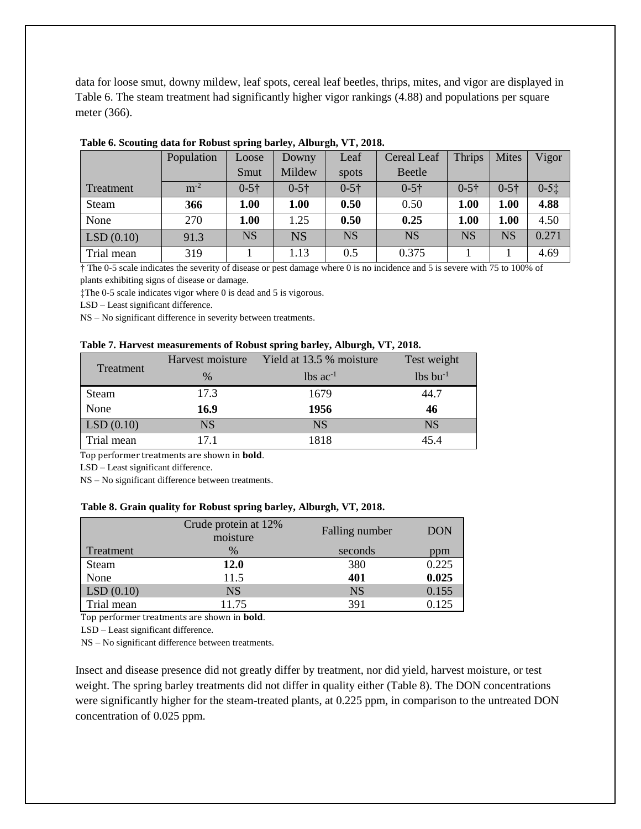data for loose smut, downy mildew, leaf spots, cereal leaf beetles, thrips, mites, and vigor are displayed in Table 6. The steam treatment had significantly higher vigor rankings (4.88) and populations per square meter (366).

|            | Population | Loose     | Downy     | Leaf      | Cereal Leaf | <b>Thrips</b> | <b>Mites</b> | Vigor    |
|------------|------------|-----------|-----------|-----------|-------------|---------------|--------------|----------|
|            |            | Smut      | Mildew    | spots     | Beetle      |               |              |          |
| Treatment  | $m^{-2}$   | $0 - 5 +$ | $0 - 5 +$ | $0 - 5 +$ | $0 - 5 +$   | $0 - 5 +$     | $0 - 5 +$    | $0 - 51$ |
| Steam      | 366        | 1.00      | 1.00      | 0.50      | 0.50        | 1.00          | 1.00         | 4.88     |
| None       | 270        | 1.00      | 1.25      | 0.50      | 0.25        | 1.00          | 1.00         | 4.50     |
| LSD(0.10)  | 91.3       | <b>NS</b> | <b>NS</b> | <b>NS</b> | <b>NS</b>   | <b>NS</b>     | <b>NS</b>    | 0.271    |
| Trial mean | 319        |           | 1.13      | 0.5       | 0.375       |               |              | 4.69     |

#### **Table 6. Scouting data for Robust spring barley, Alburgh, VT, 2018.**

† The 0-5 scale indicates the severity of disease or pest damage where 0 is no incidence and 5 is severe with 75 to 100% of plants exhibiting signs of disease or damage.

‡The 0-5 scale indicates vigor where 0 is dead and 5 is vigorous.

LSD – Least significant difference.

NS – No significant difference in severity between treatments.

#### **Table 7. Harvest measurements of Robust spring barley, Alburgh, VT, 2018.**

|            | Harvest moisture | Yield at 13.5 % moisture | Test weight            |
|------------|------------------|--------------------------|------------------------|
| Treatment  | $\%$             | $lbs$ ac <sup>-1</sup>   | $lbs$ bu <sup>-1</sup> |
| Steam      | 17.3             | 1679                     | 44.7                   |
| None       | 16.9             | 1956                     | 46                     |
| LSD(0.10)  | <b>NS</b>        | <b>NS</b>                | <b>NS</b>              |
| Trial mean | 17 1             | 1818                     | 45.4                   |

Top performer treatments are shown in **bold**.

LSD – Least significant difference.

NS – No significant difference between treatments.

#### **Table 8. Grain quality for Robust spring barley, Alburgh, VT, 2018.**

|            | Crude protein at 12%<br>moisture | Falling number | <b>DON</b> |
|------------|----------------------------------|----------------|------------|
| Treatment  | $\%$                             | seconds        | ppm        |
| Steam      | <b>12.0</b>                      | 380            | 0.225      |
| None       | 11.5                             | 401            | 0.025      |
| LSD(0.10)  | <b>NS</b>                        | <b>NS</b>      | 0.155      |
| Trial mean | 11.75                            | 391            | 0.125      |

Top performer treatments are shown in **bold**.

LSD – Least significant difference.

NS – No significant difference between treatments.

Insect and disease presence did not greatly differ by treatment, nor did yield, harvest moisture, or test weight. The spring barley treatments did not differ in quality either (Table 8). The DON concentrations were significantly higher for the steam-treated plants, at 0.225 ppm, in comparison to the untreated DON concentration of 0.025 ppm.